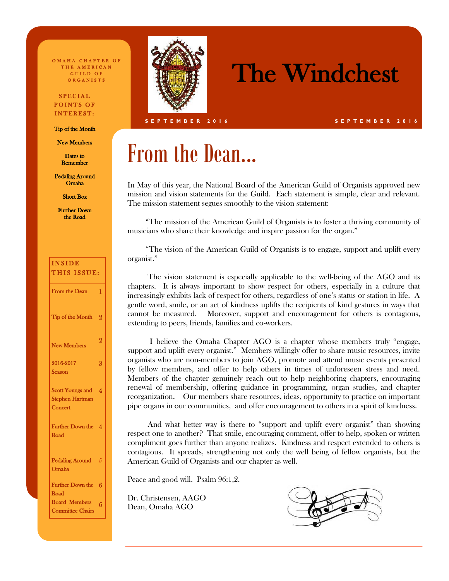O MAHA CHAPTER OF THE AMERICAN GUILD OF O R G A N I S T S

#### SPECIAL POINTS OF INTEREST:

Tip of the Month

New Members

Dates to Remember

Pedaling Around Omaha

Short Box

Further Down the Road

| <b>INSIDE</b><br>THIS ISSUE:                            |                         |
|---------------------------------------------------------|-------------------------|
| From the Dean                                           | 1                       |
| Tip of the Month                                        | $\overline{2}$          |
| <b>New Members</b>                                      | $\overline{2}$          |
| 2016-2017<br>Season                                     | 3                       |
| Scott Youngs and<br><b>Stephen Hartman</b><br>Concert   | $\overline{\mathbf{A}}$ |
| <b>Further Down the</b><br>Road                         | $\boldsymbol{\Lambda}$  |
| <b>Pedaling Around</b><br><b>Omaha</b>                  | 5                       |
| <b>Further Down the</b>                                 | 6                       |
| Road<br><b>Board Members</b><br><b>Committee Chairs</b> | 6                       |



## The Windchest

**S E P T E M B E R 2 0 1 6 S E P T E M B E R 2 0 1 6**

## From the Dean...

In May of this year, the National Board of the American Guild of Organists approved new mission and vision statements for the Guild. Each statement is simple, clear and relevant. The mission statement segues smoothly to the vision statement:

 "The mission of the American Guild of Organists is to foster a thriving community of musicians who share their knowledge and inspire passion for the organ."

 "The vision of the American Guild of Organists is to engage, support and uplift every organist."

 The vision statement is especially applicable to the well-being of the AGO and its chapters. It is always important to show respect for others, especially in a culture that increasingly exhibits lack of respect for others, regardless of one's status or station in life. A gentle word, smile, or an act of kindness uplifts the recipients of kind gestures in ways that cannot be measured. Moreover, support and encouragement for others is contagious, extending to peers, friends, families and co-workers.

 I believe the Omaha Chapter AGO is a chapter whose members truly "engage, support and uplift every organist." Members willingly offer to share music resources, invite organists who are non-members to join AGO, promote and attend music events presented by fellow members, and offer to help others in times of unforeseen stress and need. Members of the chapter genuinely reach out to help neighboring chapters, encouraging renewal of membership, offering guidance in programming, organ studies, and chapter reorganization. Our members share resources, ideas, opportunity to practice on important pipe organs in our communities, and offer encouragement to others in a spirit of kindness.

 And what better way is there to "support and uplift every organist" than showing respect one to another? That smile, encouraging comment, offer to help, spoken or written compliment goes further than anyone realizes. Kindness and respect extended to others is contagious. It spreads, strengthening not only the well being of fellow organists, but the American Guild of Organists and our chapter as well.

Peace and good will. Psalm 96:1,2.

Dr. Christensen, AAGO Dean, Omaha AGO

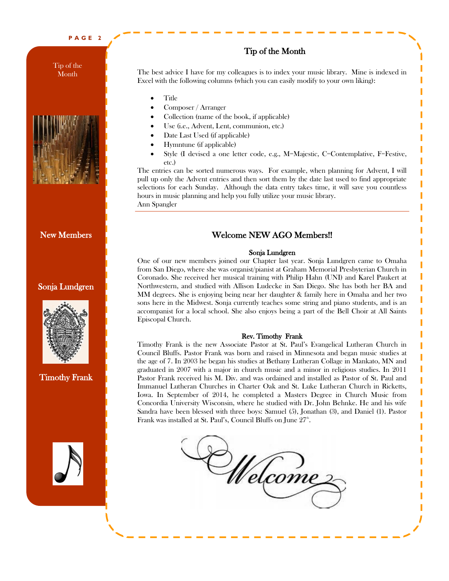#### **P A G E 2**

Tip of the **Month** 



#### New Members

#### Sonja Lundgren



Timothy Frank



#### Tip of the Month

The best advice I have for my colleagues is to index your music library. Mine is indexed in Excel with the following columns (which you can easily modify to your own liking):

- Title
- Composer / Arranger
- Collection (name of the book, if applicable)
- Use (i.e., Advent, Lent, communion, etc.)
- Date Last Used (if applicable)
- Hymntune (if applicable)
- Style (I devised a one letter code, e.g., M=Majestic, C=Contemplative, F=Festive, etc.)

The entries can be sorted numerous ways. For example, when planning for Advent, I will pull up only the Advent entries and then sort them by the date last used to find appropriate selections for each Sunday. Although the data entry takes time, it will save you countless hours in music planning and help you fully utilize your music library. Ann Spangler

#### Welcome NEW AGO Members!!

#### Sonja Lundgren

One of our new members joined our Chapter last year. Sonja Lundgren came to Omaha from San Diego, where she was organist/pianist at Graham Memorial Presbyterian Church in Coronado. She received her musical training with Philip Hahn (UNI) and Karel Paukert at Northwestern, and studied with Allison Ludecke in San Diego. She has both her BA and MM degrees. She is enjoying being near her daughter & family here in Omaha and her two sons here in the Midwest. Sonja currently teaches some string and piano students, and is an accompanist for a local school. She also enjoys being a part of the Bell Choir at All Saints Episcopal Church.

#### Rev. Timothy Frank

Timothy Frank is the new Associate Pastor at St. Paul's Evangelical Lutheran Church in Council Bluffs. Pastor Frank was born and raised in Minnesota and began music studies at the age of 7. In 2003 he began his studies at Bethany Lutheran Collage in Mankato, MN and graduated in 2007 with a major in church music and a minor in religious studies. In 2011 Pastor Frank received his M. Div. and was ordained and installed as Pastor of St. Paul and Immanuel Lutheran Churches in Charter Oak and St. Luke Lutheran Church in Ricketts, Iowa. In September of 2014, he completed a Masters Degree in Church Music from Concordia University Wisconsin, where he studied with Dr. John Behnke. He and his wife Sandra have been blessed with three boys: Samuel (5), Jonathan (3), and Daniel (1). Pastor Frank was installed at St. Paul's, Council Bluffs on June 27<sup>th</sup>.

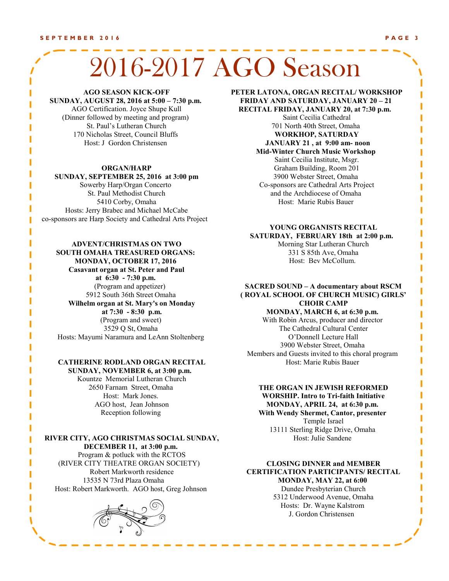# 2016-2017 AGO Season

#### **AGO SEASON KICK-OFF**

**SUNDAY, AUGUST 28, 2016 at 5:00 – 7:30 p.m.** AGO Certification. Joyce Shupe Kull (Dinner followed by meeting and program) St. Paul's Lutheran Church 170 Nicholas Street, Council Bluffs Host: J Gordon Christensen

#### **ORGAN/HARP**

#### **SUNDAY, SEPTEMBER 25, 2016 at 3:00 pm**

Sowerby Harp/Organ Concerto St. Paul Methodist Church 5410 Corby, Omaha Hosts: Jerry Brabec and Michael McCabe co-sponsors are Harp Society and Cathedral Arts Project

#### **ADVENT/CHRISTMAS ON TWO**

**SOUTH OMAHA TREASURED ORGANS: MONDAY, OCTOBER 17, 2016 Casavant organ at St. Peter and Paul at 6:30 - 7:30 p.m.** (Program and appetizer) 5912 South 36th Street Omaha **Wilhelm organ at St. Mary's on Monday at 7:30 - 8:30 p.m.** (Program and sweet) 3529 Q St, Omaha Hosts: Mayumi Naramura and LeAnn Stoltenberg

#### **CATHERINE RODLAND ORGAN RECITAL SUNDAY, NOVEMBER 6, at 3:00 p.m.**

Kountze Memorial Lutheran Church 2650 Farnam Street, Omaha Host: Mark Jones. AGO host, Jean Johnson Reception following

**RIVER CITY, AGO CHRISTMAS SOCIAL SUNDAY, DECEMBER 11, at 3:00 p.m.** Program & potluck with the RCTOS (RIVER CITY THEATRE ORGAN SOCIETY)

Robert Markworth residence 13535 N 73rd Plaza Omaha Host: Robert Markworth. AGO host, Greg Johnson



T

#### **PETER LATONA, ORGAN RECITAL/ WORKSHOP FRIDAY AND SATURDAY, JANUARY 20 – 21**

**RECITAL FRIDAY, JANUARY 20, at 7:30 p.m.**  Saint Cecilia Cathedral 701 North 40th Street, Omaha **WORKHOP, SATURDAY JANUARY 21 , at 9:00 am- noon Mid-Winter Church Music Workshop** Saint Cecilia Institute, Msgr. Graham Building, Room 201 3900 Webster Street, Omaha Co-sponsors are Cathedral Arts Project and the Archdiocese of Omaha Host: Marie Rubis Bauer

#### **YOUNG ORGANISTS RECITAL SATURDAY, FEBRUARY 18th at 2:00 p.m.**  Morning Star Lutheran Church 331 S 85th Ave, Omaha

Host: Bev McCollum.

#### **SACRED SOUND – A documentary about RSCM ( ROYAL SCHOOL OF CHURCH MUSIC) GIRLS' CHOIR CAMP**

**MONDAY, MARCH 6, at 6:30 p.m.** 

With Robin Arcus, producer and director The Cathedral Cultural Center O'Donnell Lecture Hall 3900 Webster Street, Omaha Members and Guests invited to this choral program Host: Marie Rubis Bauer

#### **THE ORGAN IN JEWISH REFORMED WORSHIP. Intro to Tri-faith Initiative MONDAY, APRIL 24, at 6:30 p.m.**

**With Wendy Shermet, Cantor, presenter** Temple Israel 13111 Sterling Ridge Drive, Omaha Host: Julie Sandene

#### **CLOSING DINNER and MEMBER CERTIFICATION PARTICIPANTS/ RECITAL MONDAY, MAY 22, at 6:00**

Dundee Presbyterian Church 5312 Underwood Avenue, Omaha Hosts: Dr. Wayne Kalstrom J. Gordon Christensen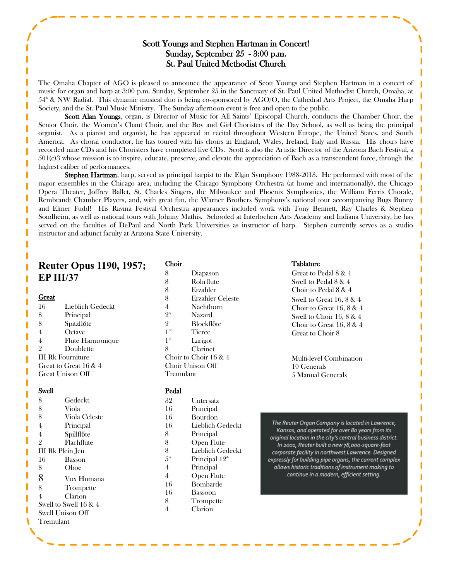#### Scott Youngs and Stephen Hartman in Concert! Sunday, September 25 - 3:00 p.m. St. Paul United Methodist Church

The Omaha Chapter of AGO is pleased to announce the appearance of Scott Youngs and Stephen Hartman in a concert of music for organ and harp at 3:00 p.m. Sunday, September 25 in the Sanctuary of St. Paul United Methodist Church, Omaha, at  $54^{\circ}$  & NW Radial. This dynamic musical duo is being co-sponsored by AGO/O, the Cathedral Arts Project, the Omaha Harp Society, and the St. Paul Music Ministry. The Sunday afternoon event is free and open to the public.

Scott Alan Youngs, organ, is Director of Music for All Saints' Episcopal Church, conducts the Chamber Choir, the Senior Choir, the Women's Chant Choir, and the Boy and Girl Choristers of the Day School, as well as being the principal organist. As a pianist and organist, he has appeared in recital throughout Western Europe, the United States, and South America. As choral conductor, he has toured with his choirs in England, Wales, Ireland, Italy and Russia. His choirs have recorded nine CDs and his Choristers have completed five CDs. Scott is also the Artistic Director of the Arizona Bach Festival, a 501(c)3 whose mission is to inspire, educate, preserve, and elevate the appreciation of Bach as a transcendent force, through the highest caliber of performances.

**Stephen Hartman**, harp, served as principal harpist to the Elgin Symphony 1988-2013. He performed with most of the major ensembles in the Chicago area, including the Chicago Symphony Orchestra (at home and internationally), the Chicago Opera Theater, Joffrey Ballet, St. Charles Singers, the Milwaukee and Phoenix Symphonies, the William Ferris Chorale, Rembrandt Chamber Players, and, with great fun, the Warner Brothers Symphony's national tour accompanying Bugs Bunny and Elmer Fudd! His Ravina Festival Orchestra appearances included work with Tony Bennett, Ray Charles & Stephen Sondheim, as well as national tours with Johnny Mathis. Schooled at Interlochen Arts Academy and Indiana University, he has served on the faculties of DePaul and North Park Universities as instructor of harp. Stephen currently serves as a studio instructor and adjunct faculty at Arizona State University.

### **Reuter Opus 1190, 1957; EP III/37**

#### **Great**

16 Lieblich Gedeckt 8 Principal 8 Spitzflőte 4 Octave 4 Flute Harmonique 2 Doublette III Rk Fourniture Great to Great 16 & 4 Great Unison Off

#### Swell

| 8              | Gedeckt                 |  |
|----------------|-------------------------|--|
| 8              | Viola                   |  |
| 8              | Viola Celeste           |  |
| 4              | Principal               |  |
| 4              | Spillflőte              |  |
| $\overline{2}$ | Flachflute              |  |
|                | <b>III Rk Plein Jeu</b> |  |
| 16             | Basson                  |  |
| 8              | Oboe                    |  |
| 8              | Vox Humana              |  |
| 8              | Trompette               |  |
| 4              | Clarion                 |  |
|                | Swell to Swell 16 & 4   |  |
|                | Swell Unison Off        |  |
| Tremulant      |                         |  |
|                |                         |  |

#### Choir

| 8                        | Diapason          |  |
|--------------------------|-------------------|--|
| 8                        | Rohrflute         |  |
| 8                        | Erzahler          |  |
| 8                        | Erzahler Celeste  |  |
| $\overline{4}$           | Nachthorn         |  |
| $2^{\frac{3}{2}}$        | Nazard            |  |
| $\overline{2}$           | <b>Blockflőte</b> |  |
| $1^{3/5}$                | <b>Tierce</b>     |  |
| 1 <sup>1/3</sup>         | Larigot           |  |
| 8                        | Clarinet          |  |
| Choir to Choir $16 \& 4$ |                   |  |
| Choir Unison Off         |                   |  |
| Tremulant                |                   |  |
|                          |                   |  |

#### Pedal

| 32             | Untersatz                  |
|----------------|----------------------------|
| 16             | Principal                  |
| 16             | Bourdon                    |
| 16             | Lieblich Gedeckt           |
| 8              | Principal                  |
| 8              | <b>Open Flute</b>          |
| 8              | Lieblich Gedeckt           |
| 5 <sup>5</sup> | Principal 12 <sup>th</sup> |
| $\overline{4}$ | Principal                  |
| 4              | Open Flute                 |
| 16             | Bombarde                   |
| 16             | Bassoon                    |
| 8              | Trompette                  |
| 4              | Clarion                    |
|                |                            |

#### Tablature

Great to Pedal 8 & 4 Swell to Pedal 8 & 4 Choir to Pedal 8 & 4 Swell to Great 16, 8 & 4 Choir to Great 16, 8 & 4 Swell to Choir 16, 8 & 4 Choir to Great 16, 8 & 4 Great to Choir 8

Multi-level Combination 10 Generals 5 Manual Generals

The Reuter Organ Company is located in Lawrence, Kansas, and operated for over 80 years from its original location in the city's central business district. In 2001, Reuter built a new 78,000-square-foot corporate facility in northwest Lawrence. Designed expressly for building pipe organs, the current complex allows historic traditions of instrument making to continue in a modern, efficient setting.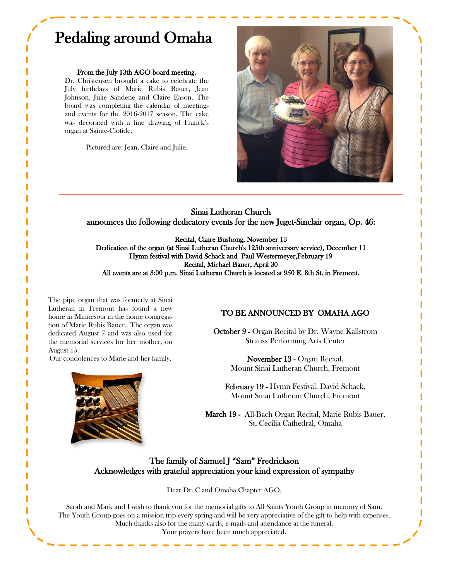## Pedaling around Omaha

#### From the July 13th AGO board meeting.

Dr. Christensen brought a cake to celebrate the July birthdays of Marie Rubis Bauer, Jean Johnson, Julie Sandene and Claire Eason. The board was completing the calendar of meetings and events for the 2016-2017 season. The cake was decorated with a line drawing of Franck's organ at Sainte-Clotide.

Pictured are: Jean, Claire and Julie.



Sinai Lutheran Church announces the following dedicatory events for the new Juget-Sinclair organ, Op. 46:

Recital, Claire Bushong, November 13 Dedication of the organ (at Sinai Lutheran Church's 125th anniversary service), December 11 Hymn festival with David Schack and Paul Westermeyer,February 19 Recital, Michael Bauer, April 30 All events are at 3:00 p.m. Sinai Lutheran Church is located at 950 E. 8th St. in Fremont.

The pipe organ that was formerly at Sinai Lutheran in Fremont has found a new home in Minnesota in the home congregation of Marie Rubis Bauer. The organ was dedicated August 7 and was also used for the memorial services for her mother, on August 15.

Our condolences to Marie and her family.



#### TO BE ANNOUNCED BY OMAHA AGO

October 9 - Organ Recital by Dr. Wayne Kallstrom Strauss Performing Arts Center

> November 13 - Organ Recital, Mount Sinai Lutheran Church, Fremont

February 19 - Hymn Festival, David Schack, Mount Sinai Lutheran Church, Fremont

March 19 - All-Bach Organ Recital, Marie Rubis Bauer, St, Cecilia Cathedral, Omaha

#### The family of Samuel J "Sam" Fredrickson Acknowledges with grateful appreciation your kind expression of sympathy

Dear Dr. C and Omaha Chapter AGO,

Sarah and Mark and I wish to thank you for the memorial gifts to All Saints Youth Group in memory of Sam. The Youth Group goes on a mission trip every spring and will be very appreciative of the gift to help with expenses. Much thanks also for the many cards, e-mails and attendance at the funeral. Your prayers have been much appreciated.